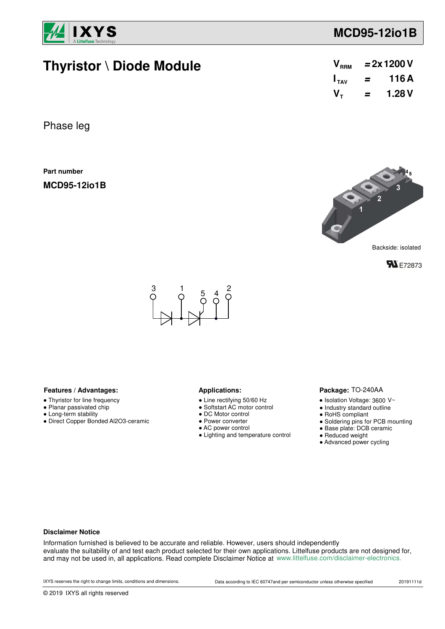

## **MCD95-12io1B**

 $V_{\tau}$  = 1.28 V

**=**

 $I_{\text{av}}$  = 116A  $V_{\text{RRM}}$  = 2x 1200 V

 $\mathbf{I}_{\text{av}}$ 

 $V_{\text{RRM}}$ 

## **Thyristor \ Diode Module**

| Phase leg |  |
|-----------|--|
|-----------|--|

**Part number**

**MCD95-12io1B**



Backside: isolated





#### **Features / Advantages:** Applications:

- Thyristor for line frequency
- Planar passivated chip
- Long-term stability
- Direct Copper Bonded Al2O3-ceramic

- Line rectifying 50/60 Hz
- Softstart AC motor control
- DC Motor control
- Power converter
- AC power control
- Lighting and temperature control

#### Package: TO-240AA

- $\bullet$  Isolation Voltage: 3600 V~
- Industry standard outline
- RoHS compliant
- Soldering pins for PCB mounting
- Base plate: DCB ceramic
- Reduced weight
- Advanced power cycling

#### **Disclaimer Notice**

Information furnished is believed to be accurate and reliable. However, users should independently evaluate the suitability of and test each product selected for their own applications. Littelfuse products are not designed for, and may not be used in, all applications. Read complete Disclaimer Notice at www.littelfuse.com/disclaimer-electronics.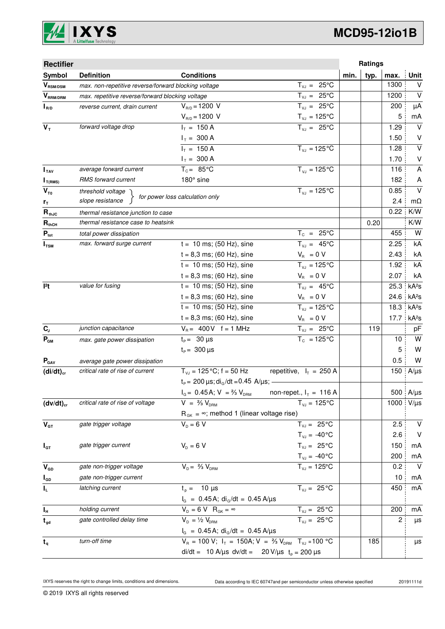

# **MCD95-12io1B**

| <b>Rectifier</b>          |                                                      |                                                                                   |                                                               | Ratings      |             |                         |
|---------------------------|------------------------------------------------------|-----------------------------------------------------------------------------------|---------------------------------------------------------------|--------------|-------------|-------------------------|
| Symbol                    | <b>Definition</b>                                    | <b>Conditions</b>                                                                 |                                                               | typ.<br>min. | max.        | <b>Unit</b>             |
| $\bm{V}_{\text{RSM/DSM}}$ | max. non-repetitive reverse/forward blocking voltage |                                                                                   | $T_{VJ} = 25^{\circ}C$                                        |              | 1300        | $\vee$                  |
| $V_{\tiny\text{RRM/DRM}}$ | max. repetitive reverse/forward blocking voltage     |                                                                                   | $\overline{T}_{vJ}$ = 25°C                                    |              | 1200        | $\vee$                  |
| $I_{R/D}$                 | reverse current, drain current                       | $V_{R/D} = 1200 V$                                                                | $T_{V,I} = 25^{\circ}C$                                       |              | 200         | μA                      |
|                           |                                                      | $V_{R/D} = 1200 V$                                                                | $T_{\nu J} = 125$ °C                                          |              | 5           | mA                      |
| $V_T$                     | forward voltage drop                                 | $I_T = 150 A$                                                                     | $T_{V,1} = 25^{\circ}C$                                       |              | 1.29        | $\vee$                  |
|                           |                                                      | $I_T = 300 A$                                                                     |                                                               |              | 1.50        | V                       |
|                           |                                                      | $I_T = 150 A$                                                                     | $T_{VJ} = 125$ °C                                             |              | 1.28        | $\overline{\mathsf{v}}$ |
|                           |                                                      | $I_T = 300 A$                                                                     |                                                               |              | 1.70        | V                       |
| I <sub>TAV</sub>          | average forward current                              | $T_c = 85^{\circ}$ C                                                              | $T_{VJ} = 125^{\circ}C$                                       |              | 116         | A                       |
| $I_{T(RMS)}$              | RMS forward current                                  | 180° sine                                                                         |                                                               |              | 182         | A                       |
| $V_{\tau_0}$              | threshold voltage                                    | for power loss calculation only                                                   | $T_{VJ} = 125$ °C                                             |              | 0.85        | $\vee$                  |
| r <sub>T</sub>            | slope resistance                                     |                                                                                   |                                                               |              | 2.4<br>0.22 | $m\Omega$               |
| $R_{thJC}$                | thermal resistance junction to case                  |                                                                                   |                                                               |              |             | K/W                     |
| $R_{thCH}$                | thermal resistance case to heatsink                  |                                                                                   |                                                               |              | 0.20        | K/W<br>W                |
| $P_{\text{tot}}$          | total power dissipation                              |                                                                                   | $T_c = 25^{\circ}C$                                           |              | 455         | kA                      |
| $I_{\text{TSM}}$          | max. forward surge current                           | $t = 10$ ms; (50 Hz), sine                                                        | $T_{v,i} = 45^{\circ}C$                                       |              | 2.25        |                         |
|                           |                                                      | $t = 8,3$ ms; (60 Hz), sine                                                       | $V_{\rm R} = 0 V$                                             |              | 2.43        | kA<br>kA                |
|                           |                                                      | $t = 10$ ms; (50 Hz), sine                                                        | $T_{VJ} = 125^{\circ}C$                                       |              | 1.92        | kA                      |
|                           |                                                      | $t = 8,3$ ms; (60 Hz), sine                                                       | $V_{B} = 0 V$                                                 |              | 2.07        |                         |
| 12t                       | value for fusing                                     | $t = 10$ ms; (50 Hz), sine                                                        | $T_{VJ} = 45^{\circ}C$                                        |              | 25.3        | kA <sup>2</sup> s       |
|                           |                                                      | $t = 8,3$ ms; (60 Hz), sine                                                       | $V_R = 0 V$                                                   |              | 24.6        | kA <sup>2</sup> s       |
|                           |                                                      | $t = 10$ ms; (50 Hz), sine                                                        | $T_{VJ} = 125^{\circ}C$                                       |              | 18.3        | kA <sup>2</sup> S       |
|                           |                                                      | $t = 8,3$ ms; (60 Hz), sine                                                       | $V_{\rm R} = 0 V$                                             |              | 17.7        | kA <sup>2</sup> S       |
| $C_{J}$                   | junction capacitance                                 | $V_R = 400V$ f = 1 MHz                                                            | $T_{VJ} = 25^{\circ}C$                                        |              | 119         | pF                      |
| $P_{GM}$                  | max. gate power dissipation                          | $t_{\rm p} = 30 \,\mu s$                                                          | $T_c = 125^{\circ}C$                                          |              | 10          | W                       |
|                           |                                                      | $t_{\rm p} = 300 \,\mu s$                                                         |                                                               |              | 5           | W                       |
| $P_{\text{GAV}}$          | average gate power dissipation                       |                                                                                   |                                                               |              | 0.5         | W                       |
| $(di/dt)_{cr}$            | critical rate of rise of current                     | $T_{V,1} = 125 \degree C$ ; f = 50 Hz                                             | repetitive, $I_T = 250$ A                                     |              | 150         | $A/\mu s$               |
|                           |                                                      | $t_P$ = 200 $\mu$ s; di <sub>G</sub> /dt = 0.45 A/ $\mu$ s; -                     |                                                               |              |             |                         |
|                           |                                                      | $I_G = 0.45$ A; $V = \frac{2}{3} V_{DRM}$                                         | non-repet., $I_T = 116$ A                                     |              |             | 500 A/µs                |
| $(dv/dt)_{cr}$            | critical rate of rise of voltage                     | $V = \frac{2}{3} V_{DBM}$                                                         | $T_{VJ} = 125$ °C                                             |              | 1000        | $V/\mu s$               |
|                           | gate trigger voltage                                 | $R_{GK} = \infty$ ; method 1 (linear voltage rise)<br>$V_{\rm p} = 6 V$           | $T_{VJ} = 25^{\circ}C$                                        |              | 2.5         | $\vee$                  |
| $\mathbf{V}_{\text{GT}}$  |                                                      |                                                                                   |                                                               |              | 2.6         | $\vee$                  |
|                           |                                                      |                                                                                   | $T_{\text{VJ}} = -40^{\circ}C$                                |              |             |                         |
| $I_{GT}$                  | gate trigger current                                 | $V_{D} = 6 V$                                                                     | $T_{VJ} = 25^{\circ}C$                                        |              | 150<br>200  | mA                      |
| $V_{GD}$                  | gate non-trigger voltage                             | $V_{D} = \frac{2}{3} V_{DBM}$                                                     | $T_{\text{VJ}} = -40^{\circ}C$<br>$\overline{T}_{vJ}$ = 125°C |              | 0.2         | mA<br>$\vee$            |
| $I_{GD}$                  | gate non-trigger current                             |                                                                                   |                                                               |              | 10          | mA                      |
| IL.                       | latching current                                     | $t_{p} = 10 \mu s$                                                                | $T_{VJ} = 25 °C$                                              |              | 450         | mA                      |
|                           |                                                      | $I_G = 0.45 A$ ; di <sub>g</sub> /dt = 0.45 A/µs                                  |                                                               |              |             |                         |
| $I_{\rm H}$               | holding current                                      | $V_{D} = 6 V R_{GK} = \infty$                                                     | $T_{VJ} = 25^{\circ}C$                                        |              | 200         | mA                      |
| $t_{gd}$                  | gate controlled delay time                           | $V_{D} = \frac{1}{2} V_{DBM}$                                                     | $T_{\text{VJ}} = 25^{\circ}C$                                 |              | 2           | μs                      |
|                           |                                                      | $I_G = 0.45A$ ; di <sub>G</sub> /dt = 0.45 A/µs                                   |                                                               |              |             |                         |
| $t_{q}$                   | turn-off time                                        | $V_R = 100 V$ ; $I_T = 150A$ ; $V = \frac{2}{3} V_{DRM}$ T <sub>VJ</sub> = 100 °C |                                                               |              | 185         | μs                      |
|                           |                                                      | di/dt = 10 A/µs dv/dt = 20 V/µs $t_p = 200 \mu s$                                 |                                                               |              |             |                         |
|                           |                                                      |                                                                                   |                                                               |              |             |                         |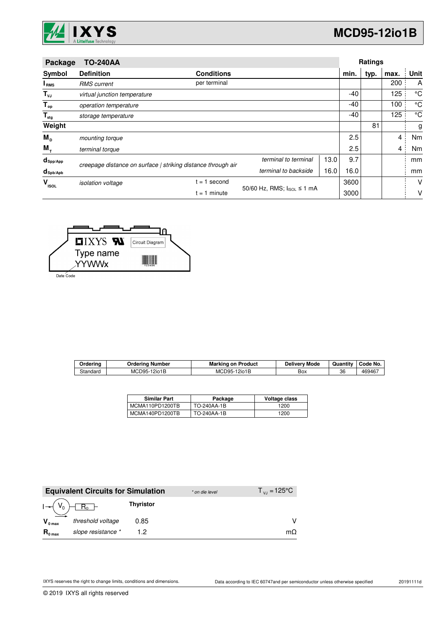

| Package                 | <b>TO-240AA</b>              |                                                              |                            |      |      | Ratings |                |             |
|-------------------------|------------------------------|--------------------------------------------------------------|----------------------------|------|------|---------|----------------|-------------|
| Symbol                  | <b>Definition</b>            | <b>Conditions</b>                                            |                            |      | min. | typ.    | max.           | Unit        |
| I <sub>RMS</sub>        | <b>RMS</b> current           | per terminal                                                 |                            |      |      |         | 200            | A           |
| $T_{\nu J}$             | virtual junction temperature |                                                              |                            |      | -40  |         | 125            | °C          |
| $T_{op}$                | operation temperature        |                                                              |                            |      | -40  |         | 100            | $^{\circ}C$ |
| $\mathsf{T}_{\sf{stg}}$ | storage temperature          |                                                              |                            |      | -40  |         | 125            | °C          |
| Weight                  |                              |                                                              |                            |      |      | 81      |                | g           |
| $M_{\rm p}$             | mounting torque              |                                                              |                            |      | 2.5  |         | 4              | Nm          |
| $M_{+}$                 | terminal torque              |                                                              |                            |      | 2.5  |         | $\overline{4}$ | Nm          |
| $d_{\mathsf{Spp/App}}$  |                              | creepage distance on surface   striking distance through air | terminal to terminal       |      | 9.7  |         |                | mm          |
| $d_{\text{sph/Apb}}$    |                              |                                                              | terminal to backside       | 16.0 | 16.0 |         |                | mm          |
| v<br><b>ISOL</b>        | <i>isolation</i> voltage     | $= 1$ second                                                 |                            |      |      |         |                | V           |
|                         |                              | $= 1$ minute                                                 | 50/60 Hz, RMS; IsoL ≤ 1 mA | 3000 |      |         | v              |             |



Date Code

| Orderina | )rderina<br>Number      | Marking<br>on Product | Deliverv Mode | $\cdot$ .<br>Quantity | Code No. |
|----------|-------------------------|-----------------------|---------------|-----------------------|----------|
| Standard | <b>MCD95-</b><br>12io1B | MCD95<br>12io1B<br>∼- | ∽<br>Вох      | 36                    | 469467   |

| <b>Similar Part</b> | Package     | Voltage class |
|---------------------|-------------|---------------|
| MCMA110PD1200TB     | TO-240AA-1B | 1200          |
| MCMA140PD1200TB     | TO-240AA-1B | 1200          |

|                     | <b>Equivalent Circuits for Simulation</b> |                  | * on die level | $T_{\rm{VJ}} = 125^{\circ}C$ |
|---------------------|-------------------------------------------|------------------|----------------|------------------------------|
|                     | $R_0$ –                                   | <b>Thyristor</b> |                |                              |
| $V_{0 \text{ max}}$ | threshold voltage                         | 0.85             |                |                              |
| $R_{0 \text{ max}}$ | slope resistance *                        |                  |                | mΩ                           |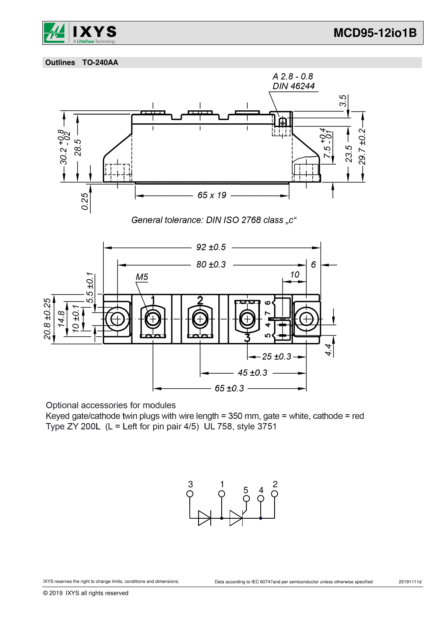



 **Outlines TO-240AA**





Optional accessories for modules

Keyed gate/cathode twin plugs with wire length = 350 mm, gate = white, cathode = red Type ZY 200L (L = Left for pin pair 4/5) UL 758, style 3751

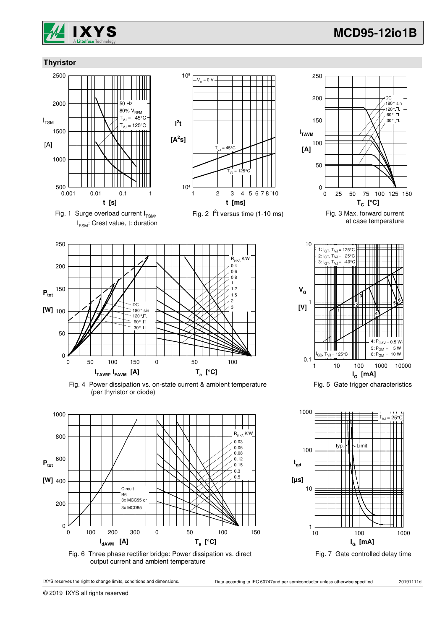

 $180°$  sin 120 ° , 60° Π 30° JL

DC

### **Thyristor**



Fig. 1 Surge overload current  $I_{TSM}$ , I<sub>FSM</sub>: Crest value, t: duration



Fig. 2  $I<sup>2</sup>t$  versus time (1-10 ms)



Fig. 4 Power dissipation vs. on-state current & ambient temperature (per thyristor or diode)



Fig. 6 Three phase rectifier bridge: Power dissipation vs. direct output current and ambient temperature



© 2019 IXYS all rights reserved



 $T_c$ <sup>c</sup>C<sub>]</sub>

Fig. 3 Max. forward current at case temperature

0 25 50 75 100 125 150

 $\Omega$ 

50

100

**ITAVM**

**[A]**

150

200

250